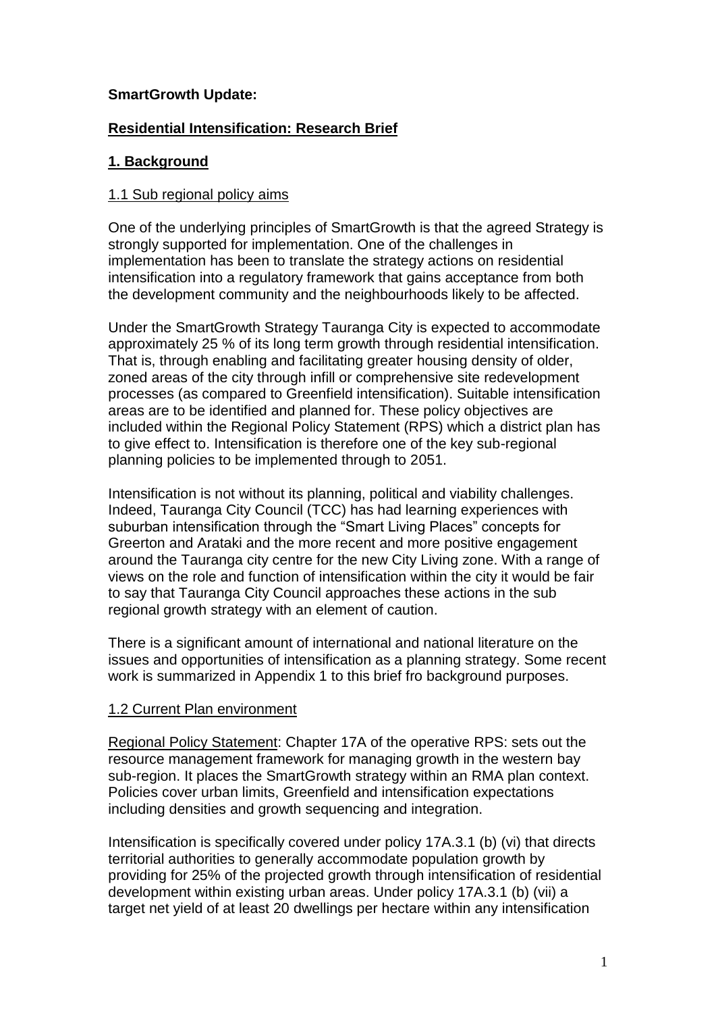# **SmartGrowth Update:**

# **Residential Intensification: Research Brief**

# **1. Background**

## 1.1 Sub regional policy aims

One of the underlying principles of SmartGrowth is that the agreed Strategy is strongly supported for implementation. One of the challenges in implementation has been to translate the strategy actions on residential intensification into a regulatory framework that gains acceptance from both the development community and the neighbourhoods likely to be affected.

Under the SmartGrowth Strategy Tauranga City is expected to accommodate approximately 25 % of its long term growth through residential intensification. That is, through enabling and facilitating greater housing density of older, zoned areas of the city through infill or comprehensive site redevelopment processes (as compared to Greenfield intensification). Suitable intensification areas are to be identified and planned for. These policy objectives are included within the Regional Policy Statement (RPS) which a district plan has to give effect to. Intensification is therefore one of the key sub-regional planning policies to be implemented through to 2051.

Intensification is not without its planning, political and viability challenges. Indeed, Tauranga City Council (TCC) has had learning experiences with suburban intensification through the "Smart Living Places" concepts for Greerton and Arataki and the more recent and more positive engagement around the Tauranga city centre for the new City Living zone. With a range of views on the role and function of intensification within the city it would be fair to say that Tauranga City Council approaches these actions in the sub regional growth strategy with an element of caution.

There is a significant amount of international and national literature on the issues and opportunities of intensification as a planning strategy. Some recent work is summarized in Appendix 1 to this brief fro background purposes.

## 1.2 Current Plan environment

Regional Policy Statement: Chapter 17A of the operative RPS: sets out the resource management framework for managing growth in the western bay sub-region. It places the SmartGrowth strategy within an RMA plan context. Policies cover urban limits, Greenfield and intensification expectations including densities and growth sequencing and integration.

Intensification is specifically covered under policy 17A.3.1 (b) (vi) that directs territorial authorities to generally accommodate population growth by providing for 25% of the projected growth through intensification of residential development within existing urban areas. Under policy 17A.3.1 (b) (vii) a target net yield of at least 20 dwellings per hectare within any intensification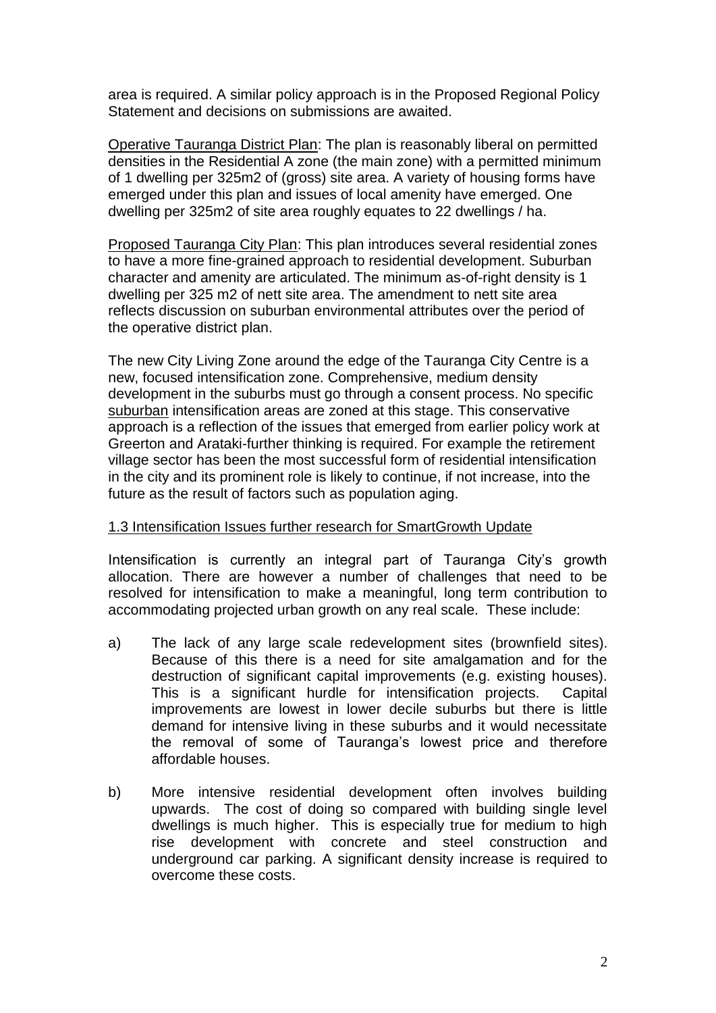area is required. A similar policy approach is in the Proposed Regional Policy Statement and decisions on submissions are awaited.

Operative Tauranga District Plan: The plan is reasonably liberal on permitted densities in the Residential A zone (the main zone) with a permitted minimum of 1 dwelling per 325m2 of (gross) site area. A variety of housing forms have emerged under this plan and issues of local amenity have emerged. One dwelling per 325m2 of site area roughly equates to 22 dwellings / ha.

Proposed Tauranga City Plan: This plan introduces several residential zones to have a more fine-grained approach to residential development. Suburban character and amenity are articulated. The minimum as-of-right density is 1 dwelling per 325 m2 of nett site area. The amendment to nett site area reflects discussion on suburban environmental attributes over the period of the operative district plan.

The new City Living Zone around the edge of the Tauranga City Centre is a new, focused intensification zone. Comprehensive, medium density development in the suburbs must go through a consent process. No specific suburban intensification areas are zoned at this stage. This conservative approach is a reflection of the issues that emerged from earlier policy work at Greerton and Arataki-further thinking is required. For example the retirement village sector has been the most successful form of residential intensification in the city and its prominent role is likely to continue, if not increase, into the future as the result of factors such as population aging.

## 1.3 Intensification Issues further research for SmartGrowth Update

Intensification is currently an integral part of Tauranga City's growth allocation. There are however a number of challenges that need to be resolved for intensification to make a meaningful, long term contribution to accommodating projected urban growth on any real scale. These include:

- a) The lack of any large scale redevelopment sites (brownfield sites). Because of this there is a need for site amalgamation and for the destruction of significant capital improvements (e.g. existing houses). This is a significant hurdle for intensification projects. Capital improvements are lowest in lower decile suburbs but there is little demand for intensive living in these suburbs and it would necessitate the removal of some of Tauranga's lowest price and therefore affordable houses.
- b) More intensive residential development often involves building upwards. The cost of doing so compared with building single level dwellings is much higher. This is especially true for medium to high rise development with concrete and steel construction and underground car parking. A significant density increase is required to overcome these costs.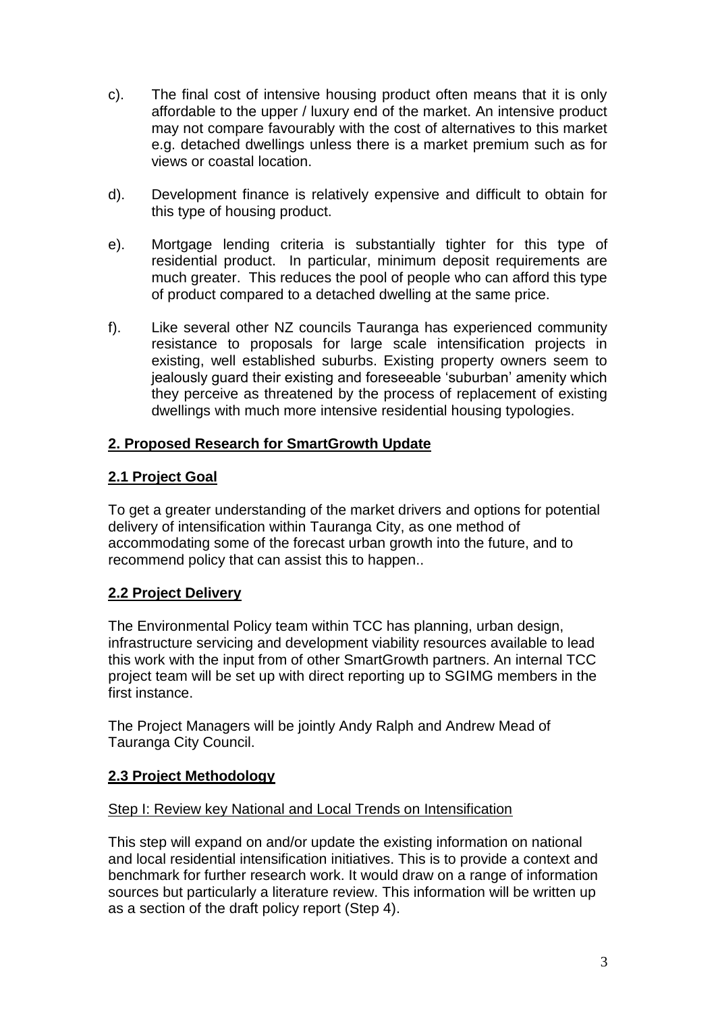- c). The final cost of intensive housing product often means that it is only affordable to the upper / luxury end of the market. An intensive product may not compare favourably with the cost of alternatives to this market e.g. detached dwellings unless there is a market premium such as for views or coastal location.
- d). Development finance is relatively expensive and difficult to obtain for this type of housing product.
- e). Mortgage lending criteria is substantially tighter for this type of residential product. In particular, minimum deposit requirements are much greater. This reduces the pool of people who can afford this type of product compared to a detached dwelling at the same price.
- f). Like several other NZ councils Tauranga has experienced community resistance to proposals for large scale intensification projects in existing, well established suburbs. Existing property owners seem to jealously guard their existing and foreseeable 'suburban' amenity which they perceive as threatened by the process of replacement of existing dwellings with much more intensive residential housing typologies.

# **2. Proposed Research for SmartGrowth Update**

# **2.1 Project Goal**

To get a greater understanding of the market drivers and options for potential delivery of intensification within Tauranga City, as one method of accommodating some of the forecast urban growth into the future, and to recommend policy that can assist this to happen..

# **2.2 Project Delivery**

The Environmental Policy team within TCC has planning, urban design, infrastructure servicing and development viability resources available to lead this work with the input from of other SmartGrowth partners. An internal TCC project team will be set up with direct reporting up to SGIMG members in the first instance.

The Project Managers will be jointly Andy Ralph and Andrew Mead of Tauranga City Council.

# **2.3 Project Methodology**

# Step I: Review key National and Local Trends on Intensification

This step will expand on and/or update the existing information on national and local residential intensification initiatives. This is to provide a context and benchmark for further research work. It would draw on a range of information sources but particularly a literature review. This information will be written up as a section of the draft policy report (Step 4).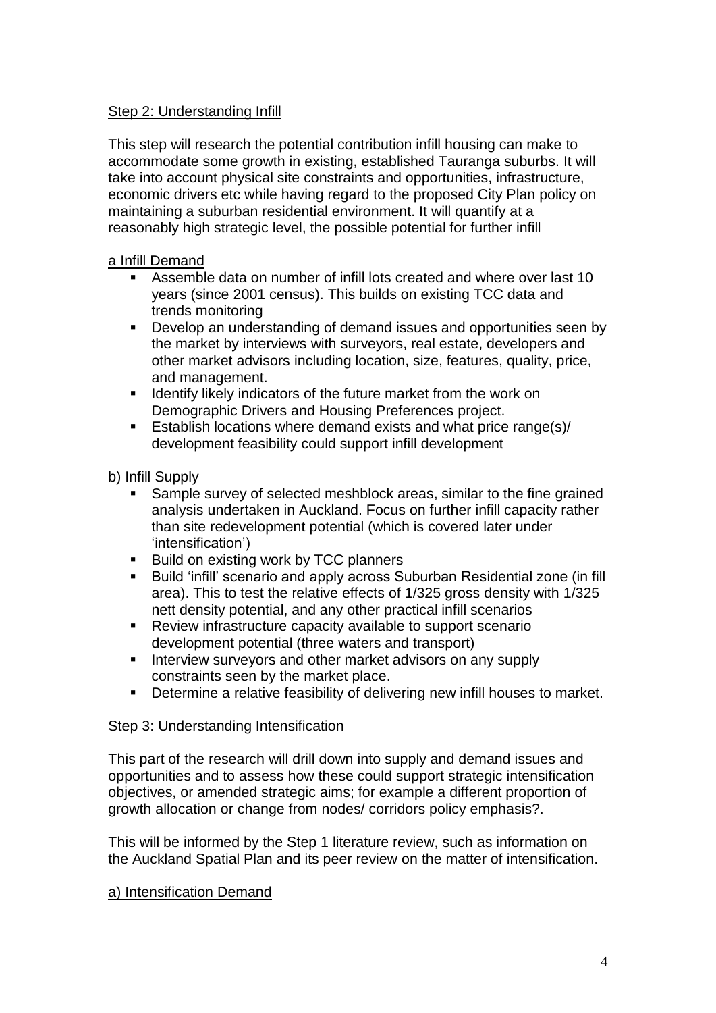# Step 2: Understanding Infill

This step will research the potential contribution infill housing can make to accommodate some growth in existing, established Tauranga suburbs. It will take into account physical site constraints and opportunities, infrastructure, economic drivers etc while having regard to the proposed City Plan policy on maintaining a suburban residential environment. It will quantify at a reasonably high strategic level, the possible potential for further infill

## a Infill Demand

- Assemble data on number of infill lots created and where over last 10 years (since 2001 census). This builds on existing TCC data and trends monitoring
- Develop an understanding of demand issues and opportunities seen by the market by interviews with surveyors, real estate, developers and other market advisors including location, size, features, quality, price, and management.
- **If all identify likely indicators of the future market from the work on** Demographic Drivers and Housing Preferences project.
- Establish locations where demand exists and what price range(s)/ development feasibility could support infill development

# b) Infill Supply

- Sample survey of selected meshblock areas, similar to the fine grained analysis undertaken in Auckland. Focus on further infill capacity rather than site redevelopment potential (which is covered later under 'intensification')
- Build on existing work by TCC planners
- Build 'infill' scenario and apply across Suburban Residential zone (in fill area). This to test the relative effects of 1/325 gross density with 1/325 nett density potential, and any other practical infill scenarios
- Review infrastructure capacity available to support scenario development potential (three waters and transport)
- **Interview surveyors and other market advisors on any supply** constraints seen by the market place.
- **•** Determine a relative feasibility of delivering new infill houses to market.

## Step 3: Understanding Intensification

This part of the research will drill down into supply and demand issues and opportunities and to assess how these could support strategic intensification objectives, or amended strategic aims; for example a different proportion of growth allocation or change from nodes/ corridors policy emphasis?.

This will be informed by the Step 1 literature review, such as information on the Auckland Spatial Plan and its peer review on the matter of intensification.

## a) Intensification Demand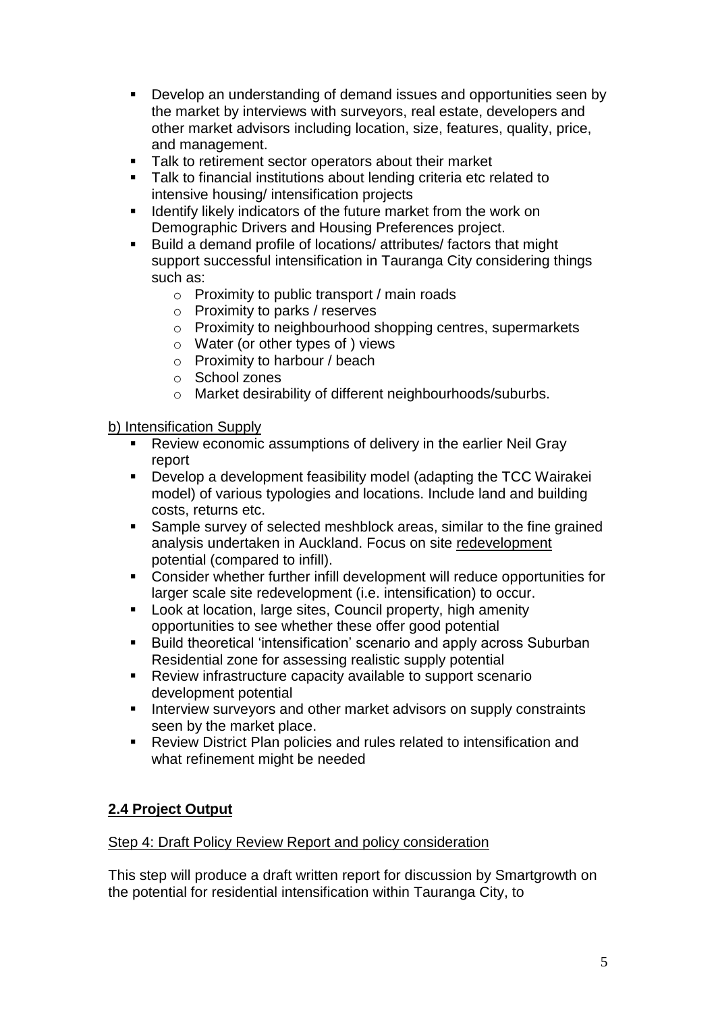- Develop an understanding of demand issues and opportunities seen by the market by interviews with surveyors, real estate, developers and other market advisors including location, size, features, quality, price, and management.
- Talk to retirement sector operators about their market
- **Talk to financial institutions about lending criteria etc related to** intensive housing/ intensification projects
- **If all identify likely indicators of the future market from the work on** Demographic Drivers and Housing Preferences project.
- Build a demand profile of locations/ attributes/ factors that might support successful intensification in Tauranga City considering things such as:
	- o Proximity to public transport / main roads
	- o Proximity to parks / reserves
	- o Proximity to neighbourhood shopping centres, supermarkets
	- o Water (or other types of ) views
	- o Proximity to harbour / beach
	- o School zones
	- o Market desirability of different neighbourhoods/suburbs.

## b) Intensification Supply

- Review economic assumptions of delivery in the earlier Neil Gray report
- Develop a development feasibility model (adapting the TCC Wairakei model) of various typologies and locations. Include land and building costs, returns etc.
- Sample survey of selected meshblock areas, similar to the fine grained analysis undertaken in Auckland. Focus on site redevelopment potential (compared to infill).
- Consider whether further infill development will reduce opportunities for larger scale site redevelopment (i.e. intensification) to occur.
- **Look at location, large sites, Council property, high amenity** opportunities to see whether these offer good potential
- Build theoretical 'intensification' scenario and apply across Suburban Residential zone for assessing realistic supply potential
- Review infrastructure capacity available to support scenario development potential
- **Interview surveyors and other market advisors on supply constraints** seen by the market place.
- Review District Plan policies and rules related to intensification and what refinement might be needed

# **2.4 Project Output**

## Step 4: Draft Policy Review Report and policy consideration

This step will produce a draft written report for discussion by Smartgrowth on the potential for residential intensification within Tauranga City, to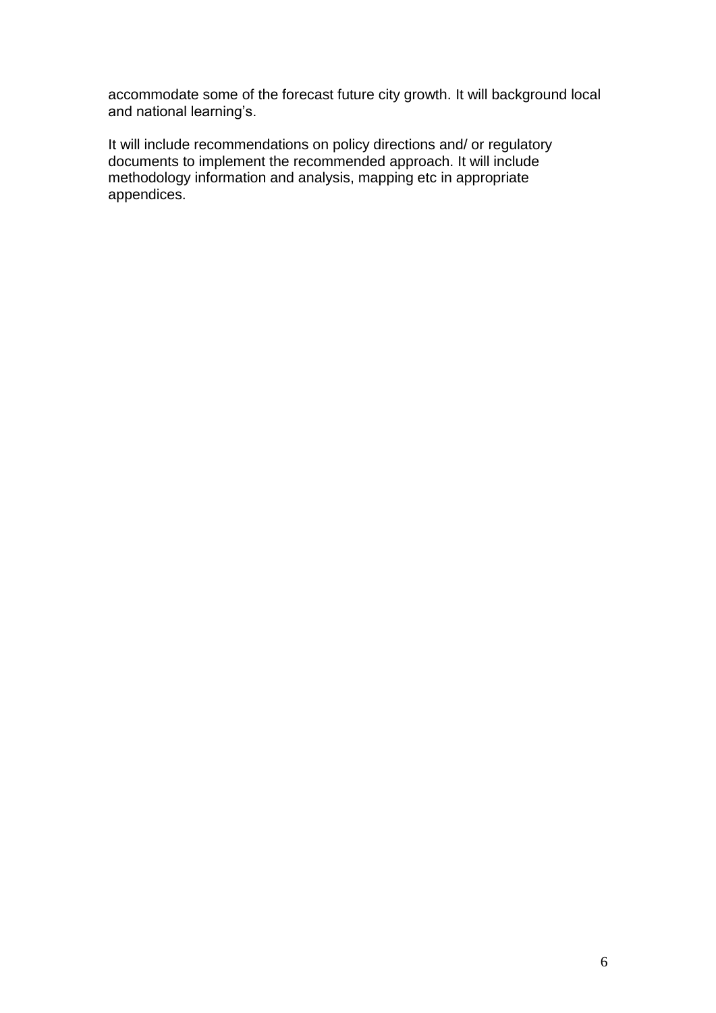accommodate some of the forecast future city growth. It will background local and national learning's.

It will include recommendations on policy directions and/ or regulatory documents to implement the recommended approach. It will include methodology information and analysis, mapping etc in appropriate appendices.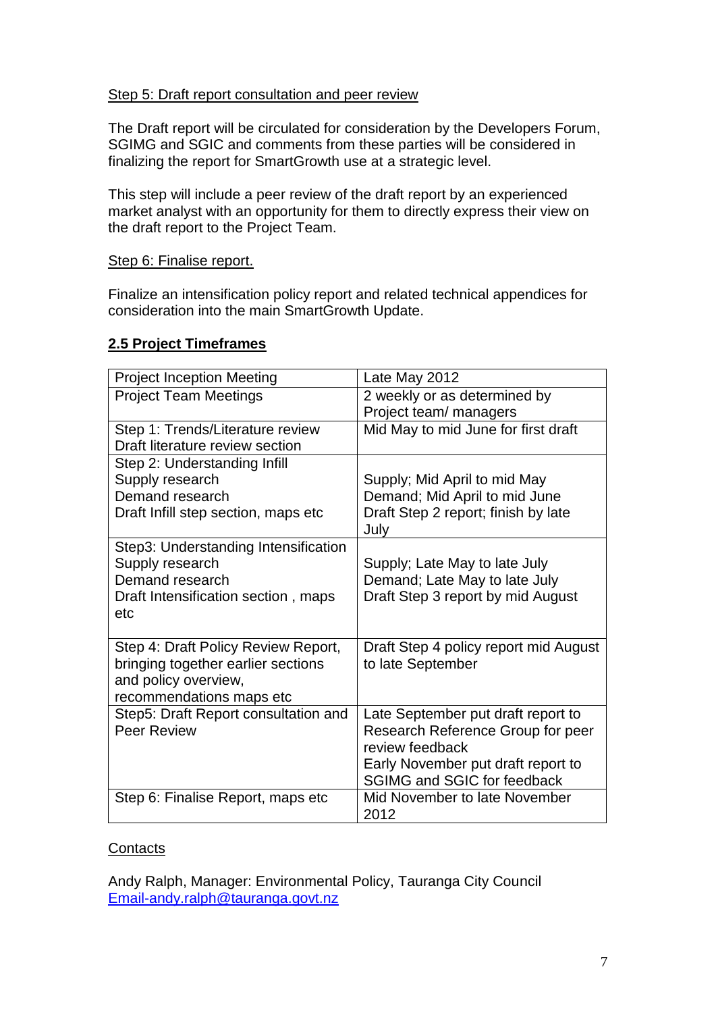## Step 5: Draft report consultation and peer review

The Draft report will be circulated for consideration by the Developers Forum, SGIMG and SGIC and comments from these parties will be considered in finalizing the report for SmartGrowth use at a strategic level.

This step will include a peer review of the draft report by an experienced market analyst with an opportunity for them to directly express their view on the draft report to the Project Team.

#### Step 6: Finalise report.

Finalize an intensification policy report and related technical appendices for consideration into the main SmartGrowth Update.

# **2.5 Project Timeframes**

| <b>Project Inception Meeting</b>     | Late May 2012                                        |
|--------------------------------------|------------------------------------------------------|
| <b>Project Team Meetings</b>         | 2 weekly or as determined by                         |
|                                      | Project team/ managers                               |
| Step 1: Trends/Literature review     | Mid May to mid June for first draft                  |
| Draft literature review section      |                                                      |
| Step 2: Understanding Infill         |                                                      |
| Supply research                      | Supply; Mid April to mid May                         |
| Demand research                      | Demand; Mid April to mid June                        |
| Draft Infill step section, maps etc  | Draft Step 2 report; finish by late<br>July          |
| Step3: Understanding Intensification |                                                      |
| Supply research                      | Supply; Late May to late July                        |
| Demand research                      | Demand; Late May to late July                        |
| Draft Intensification section, maps  | Draft Step 3 report by mid August                    |
| etc                                  |                                                      |
|                                      |                                                      |
| Step 4: Draft Policy Review Report,  | Draft Step 4 policy report mid August                |
| bringing together earlier sections   | to late September                                    |
| and policy overview,                 |                                                      |
| recommendations maps etc             |                                                      |
| Step5: Draft Report consultation and | Late September put draft report to                   |
| <b>Peer Review</b>                   | Research Reference Group for peer<br>review feedback |
|                                      | Early November put draft report to                   |
|                                      | <b>SGIMG and SGIC for feedback</b>                   |
| Step 6: Finalise Report, maps etc    | Mid November to late November                        |
|                                      | 2012                                                 |

## **Contacts**

Andy Ralph, Manager: Environmental Policy, Tauranga City Council [Email-andy.ralph@tauranga.govt.nz](mailto:Email-andy.ralph@tauranga.govt.nz)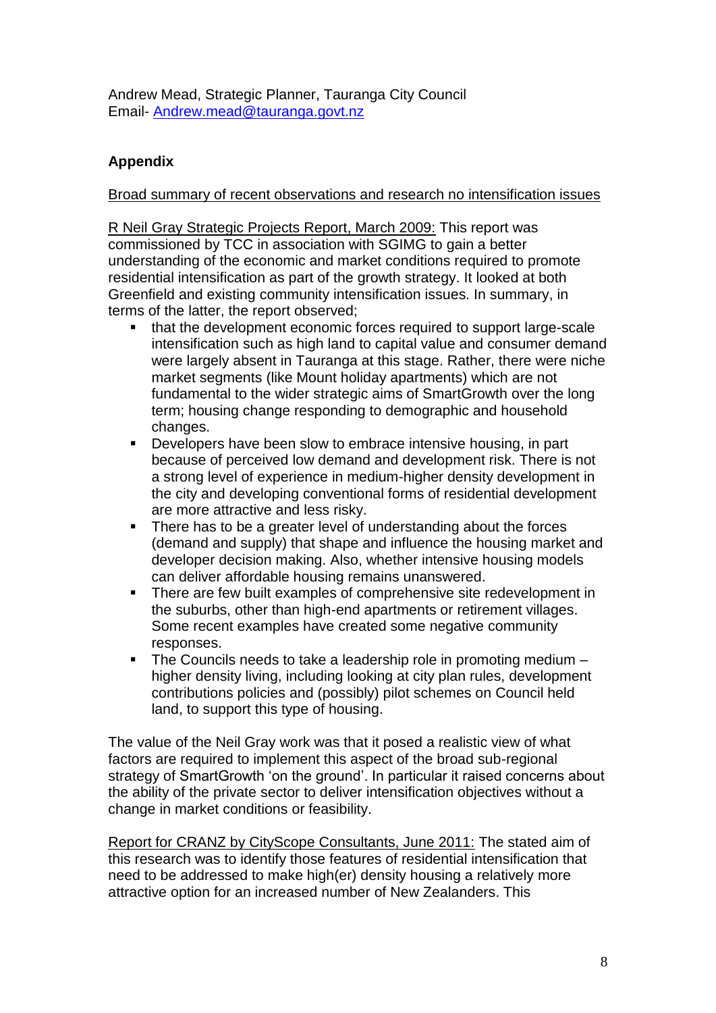Andrew Mead, Strategic Planner, Tauranga City Council Email- [Andrew.mead@tauranga.govt.nz](mailto:Andrew.mead@tauranga.govt.nz)

# **Appendix**

# Broad summary of recent observations and research no intensification issues

R Neil Gray Strategic Projects Report, March 2009: This report was commissioned by TCC in association with SGIMG to gain a better understanding of the economic and market conditions required to promote residential intensification as part of the growth strategy. It looked at both Greenfield and existing community intensification issues. In summary, in terms of the latter, the report observed;

- that the development economic forces required to support large-scale intensification such as high land to capital value and consumer demand were largely absent in Tauranga at this stage. Rather, there were niche market segments (like Mount holiday apartments) which are not fundamental to the wider strategic aims of SmartGrowth over the long term; housing change responding to demographic and household changes.
- Developers have been slow to embrace intensive housing, in part because of perceived low demand and development risk. There is not a strong level of experience in medium-higher density development in the city and developing conventional forms of residential development are more attractive and less risky.
- There has to be a greater level of understanding about the forces (demand and supply) that shape and influence the housing market and developer decision making. Also, whether intensive housing models can deliver affordable housing remains unanswered.
- There are few built examples of comprehensive site redevelopment in the suburbs, other than high-end apartments or retirement villages. Some recent examples have created some negative community responses.
- The Councils needs to take a leadership role in promoting medium higher density living, including looking at city plan rules, development contributions policies and (possibly) pilot schemes on Council held land, to support this type of housing.

The value of the Neil Gray work was that it posed a realistic view of what factors are required to implement this aspect of the broad sub-regional strategy of SmartGrowth 'on the ground'. In particular it raised concerns about the ability of the private sector to deliver intensification objectives without a change in market conditions or feasibility.

Report for CRANZ by CityScope Consultants, June 2011: The stated aim of this research was to identify those features of residential intensification that need to be addressed to make high(er) density housing a relatively more attractive option for an increased number of New Zealanders. This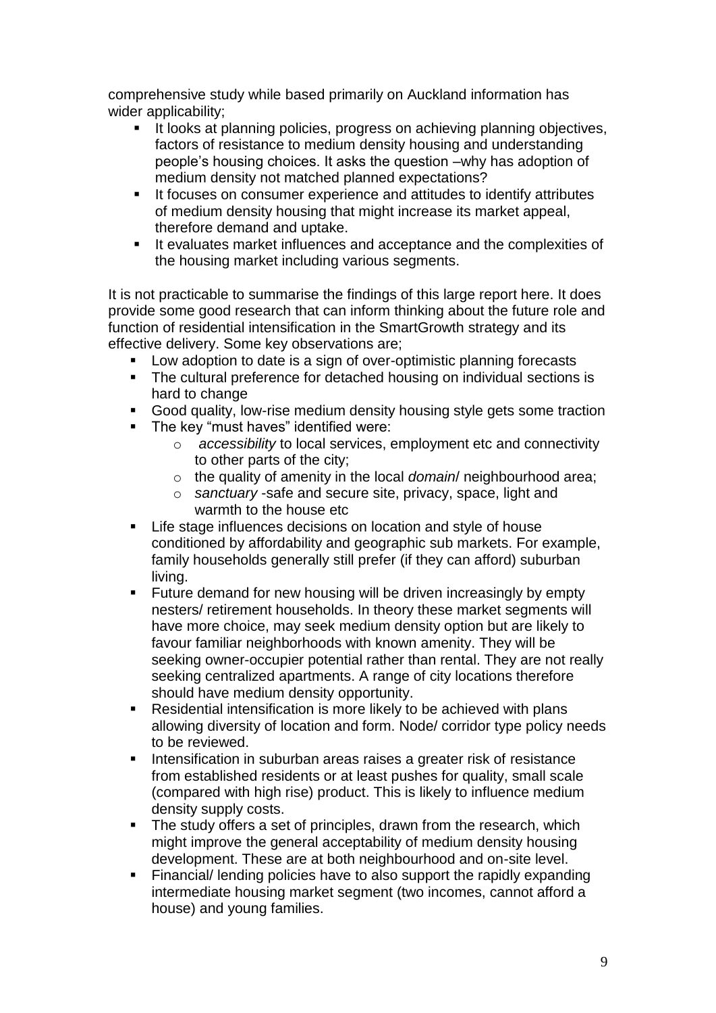comprehensive study while based primarily on Auckland information has wider applicability;

- It looks at planning policies, progress on achieving planning objectives, factors of resistance to medium density housing and understanding people's housing choices. It asks the question –why has adoption of medium density not matched planned expectations?
- It focuses on consumer experience and attitudes to identify attributes of medium density housing that might increase its market appeal, therefore demand and uptake.
- It evaluates market influences and acceptance and the complexities of the housing market including various segments.

It is not practicable to summarise the findings of this large report here. It does provide some good research that can inform thinking about the future role and function of residential intensification in the SmartGrowth strategy and its effective delivery. Some key observations are;

- **Low adoption to date is a sign of over-optimistic planning forecasts**
- The cultural preference for detached housing on individual sections is hard to change
- Good quality, low-rise medium density housing style gets some traction
- The key "must haves" identified were:
	- o *accessibility* to local services, employment etc and connectivity to other parts of the city;
	- o the quality of amenity in the local *domain*/ neighbourhood area;
	- o *sanctuary* -safe and secure site, privacy, space, light and warmth to the house etc
- **EXECT:** Life stage influences decisions on location and style of house conditioned by affordability and geographic sub markets. For example, family households generally still prefer (if they can afford) suburban living.
- **Future demand for new housing will be driven increasingly by empty** nesters/ retirement households. In theory these market segments will have more choice, may seek medium density option but are likely to favour familiar neighborhoods with known amenity. They will be seeking owner-occupier potential rather than rental. They are not really seeking centralized apartments. A range of city locations therefore should have medium density opportunity.
- Residential intensification is more likely to be achieved with plans allowing diversity of location and form. Node/ corridor type policy needs to be reviewed.
- Intensification in suburban areas raises a greater risk of resistance from established residents or at least pushes for quality, small scale (compared with high rise) product. This is likely to influence medium density supply costs.
- The study offers a set of principles, drawn from the research, which might improve the general acceptability of medium density housing development. These are at both neighbourhood and on-site level.
- Financial/ lending policies have to also support the rapidly expanding intermediate housing market segment (two incomes, cannot afford a house) and young families.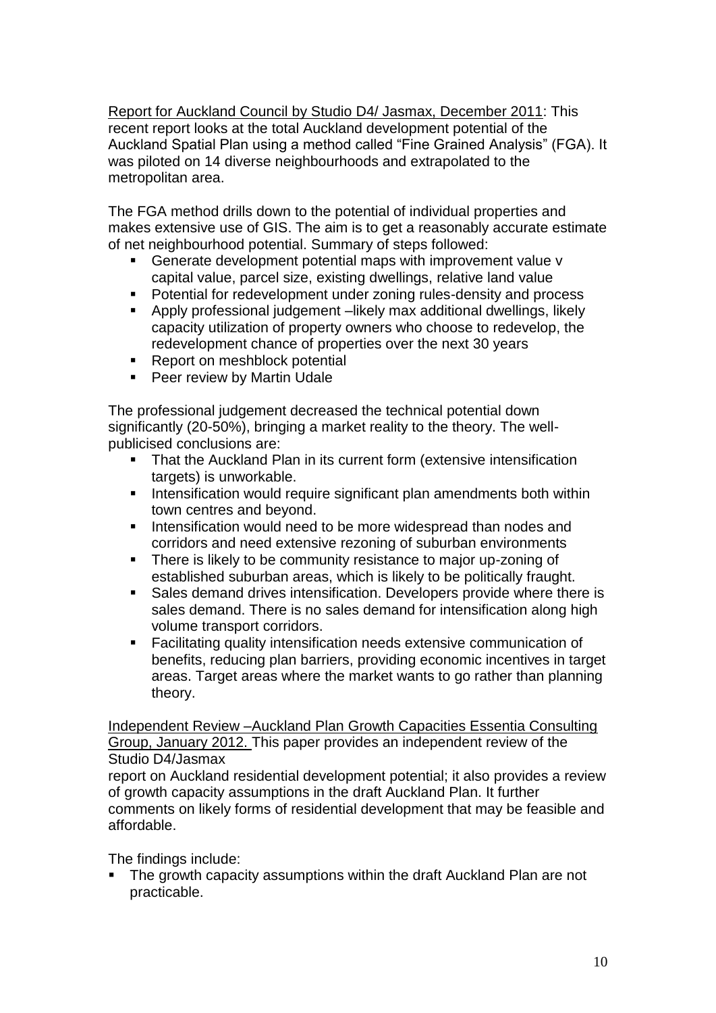Report for Auckland Council by Studio D4/ Jasmax, December 2011: This recent report looks at the total Auckland development potential of the Auckland Spatial Plan using a method called "Fine Grained Analysis" (FGA). It was piloted on 14 diverse neighbourhoods and extrapolated to the metropolitan area.

The FGA method drills down to the potential of individual properties and makes extensive use of GIS. The aim is to get a reasonably accurate estimate of net neighbourhood potential. Summary of steps followed:

- Generate development potential maps with improvement value v capital value, parcel size, existing dwellings, relative land value
- Potential for redevelopment under zoning rules-density and process
- Apply professional judgement –likely max additional dwellings, likely capacity utilization of property owners who choose to redevelop, the redevelopment chance of properties over the next 30 years
- Report on meshblock potential
- **Peer review by Martin Udale**

The professional judgement decreased the technical potential down significantly (20-50%), bringing a market reality to the theory. The wellpublicised conclusions are:

- That the Auckland Plan in its current form (extensive intensification targets) is unworkable.
- **Intensification would require significant plan amendments both within** town centres and beyond.
- Intensification would need to be more widespread than nodes and corridors and need extensive rezoning of suburban environments
- **There is likely to be community resistance to major up-zoning of** established suburban areas, which is likely to be politically fraught.
- Sales demand drives intensification. Developers provide where there is sales demand. There is no sales demand for intensification along high volume transport corridors.
- Facilitating quality intensification needs extensive communication of benefits, reducing plan barriers, providing economic incentives in target areas. Target areas where the market wants to go rather than planning theory.

Independent Review –Auckland Plan Growth Capacities Essentia Consulting Group, January 2012. This paper provides an independent review of the Studio D4/Jasmax

report on Auckland residential development potential; it also provides a review of growth capacity assumptions in the draft Auckland Plan. It further comments on likely forms of residential development that may be feasible and affordable.

The findings include:

**The growth capacity assumptions within the draft Auckland Plan are not** practicable.